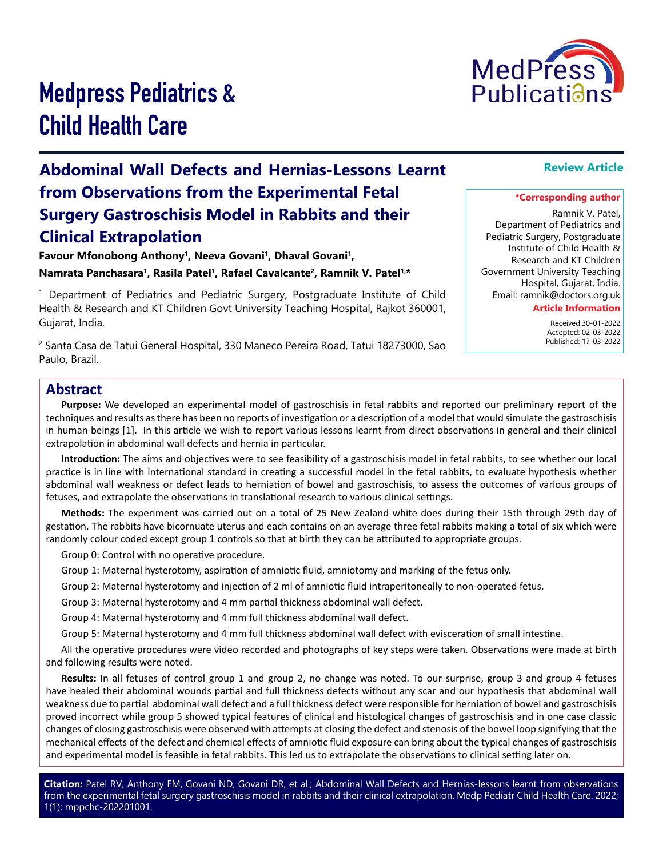

# Medpress Pediatrics & Child Health Care

## **Abdominal Wall Defects and Hernias-Lessons Learnt from Observations from the Experimental Fetal Surgery Gastroschisis Model in Rabbits and their Clinical Extrapolation**

Favour Mfonobong Anthony<sup>1</sup>, Neeva Govani<sup>1</sup>, Dhaval Govani<sup>1</sup>, **Namrata Panchasara1, Rasila Patel1, Rafael Cavalcante2, Ramnik V. Patel1,\***

1 Department of Pediatrics and Pediatric Surgery, Postgraduate Institute of Child Health & Research and KT Children Govt University Teaching Hospital, Rajkot 360001, Gujarat, India.

2 Santa Casa de Tatui General Hospital, 330 Maneco Pereira Road, Tatui 18273000, Sao Paulo, Brazil.

## **Review Article**

#### **\*Corresponding author**

Ramnik V. Patel, Department of Pediatrics and Pediatric Surgery, Postgraduate Institute of Child Health & Research and KT Children Government University Teaching Hospital, Gujarat, India. Email: ramnik@doctors.org.uk

**Article Information**

 Received:30-01-2022 Accepted: 02-03-2022 Published: 17-03-2022

### **Abstract**

**Purpose:** We developed an experimental model of gastroschisis in fetal rabbits and reported our preliminary report of the techniques and results as there has been no reports of investigation or a description of a model that would simulate the gastroschisis in human beings [1]. In this article we wish to report various lessons learnt from direct observations in general and their clinical extrapolation in abdominal wall defects and hernia in particular.

**Introduction:** The aims and objectives were to see feasibility of a gastroschisis model in fetal rabbits, to see whether our local practice is in line with international standard in creating a successful model in the fetal rabbits, to evaluate hypothesis whether abdominal wall weakness or defect leads to herniation of bowel and gastroschisis, to assess the outcomes of various groups of fetuses, and extrapolate the observations in translational research to various clinical settings.

**Methods:** The experiment was carried out on a total of 25 New Zealand white does during their 15th through 29th day of gestation. The rabbits have bicornuate uterus and each contains on an average three fetal rabbits making a total of six which were randomly colour coded except group 1 controls so that at birth they can be attributed to appropriate groups.

Group 0: Control with no operative procedure.

Group 1: Maternal hysterotomy, aspiration of amniotic fluid, amniotomy and marking of the fetus only.

Group 2: Maternal hysterotomy and injection of 2 ml of amniotic fluid intraperitoneally to non-operated fetus.

Group 3: Maternal hysterotomy and 4 mm partial thickness abdominal wall defect.

Group 4: Maternal hysterotomy and 4 mm full thickness abdominal wall defect.

Group 5: Maternal hysterotomy and 4 mm full thickness abdominal wall defect with evisceration of small intestine.

All the operative procedures were video recorded and photographs of key steps were taken. Observations were made at birth and following results were noted.

**Results:** In all fetuses of control group 1 and group 2, no change was noted. To our surprise, group 3 and group 4 fetuses have healed their abdominal wounds partial and full thickness defects without any scar and our hypothesis that abdominal wall weakness due to partial abdominal wall defect and a full thickness defect were responsible for herniation of bowel and gastroschisis proved incorrect while group 5 showed typical features of clinical and histological changes of gastroschisis and in one case classic changes of closing gastroschisis were observed with attempts at closing the defect and stenosis of the bowel loop signifying that the mechanical effects of the defect and chemical effects of amniotic fluid exposure can bring about the typical changes of gastroschisis and experimental model is feasible in fetal rabbits. This led us to extrapolate the observations to clinical setting later on.

**Citation:** Patel RV, Anthony FM, Govani ND, Govani DR, et al.; Abdominal Wall Defects and Hernias-lessons learnt from observations from the experimental fetal surgery gastroschisis model in rabbits and their clinical extrapolation. Medp Pediatr Child Health Care. 2022; 1(1): mppchc-202201001.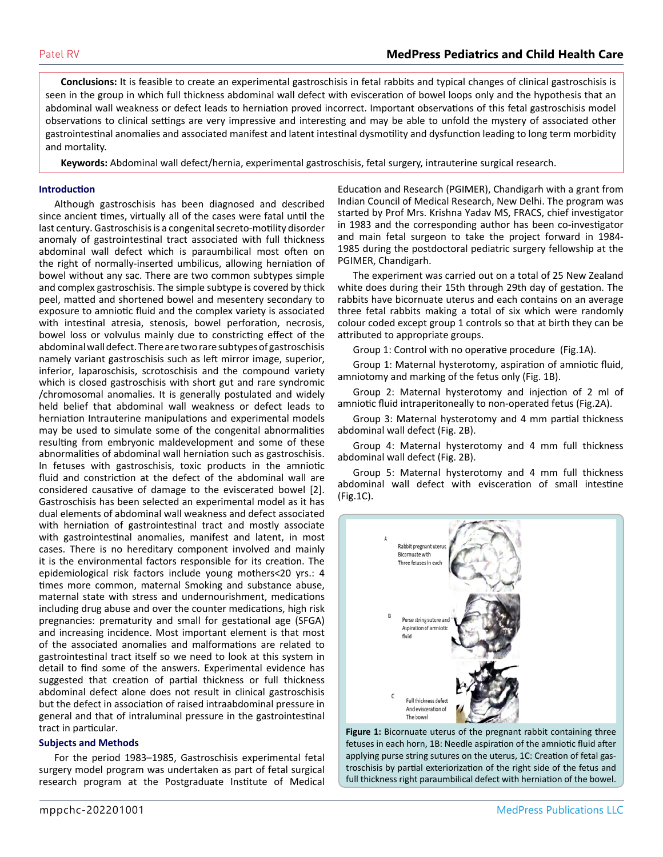**Conclusions:** It is feasible to create an experimental gastroschisis in fetal rabbits and typical changes of clinical gastroschisis is seen in the group in which full thickness abdominal wall defect with evisceration of bowel loops only and the hypothesis that an abdominal wall weakness or defect leads to herniation proved incorrect. Important observations of this fetal gastroschisis model observations to clinical settings are very impressive and interesting and may be able to unfold the mystery of associated other gastrointestinal anomalies and associated manifest and latent intestinal dysmotility and dysfunction leading to long term morbidity and mortality.

**Keywords:** Abdominal wall defect/hernia, experimental gastroschisis, fetal surgery, intrauterine surgical research.

#### **Introduction**

Although gastroschisis has been diagnosed and described since ancient times, virtually all of the cases were fatal until the last century. Gastroschisis is a congenital secreto-motility disorder anomaly of gastrointestinal tract associated with full thickness abdominal wall defect which is paraumbilical most often on the right of normally-inserted umbilicus, allowing herniation of bowel without any sac. There are two common subtypes simple and complex gastroschisis. The simple subtype is covered by thick peel, matted and shortened bowel and mesentery secondary to exposure to amniotic fluid and the complex variety is associated with intestinal atresia, stenosis, bowel perforation, necrosis, bowel loss or volvulus mainly due to constricting effect of the abdominal wall defect. There are two rare subtypes of gastroschisis namely variant gastroschisis such as left mirror image, superior, inferior, laparoschisis, scrotoschisis and the compound variety which is closed gastroschisis with short gut and rare syndromic /chromosomal anomalies. It is generally postulated and widely held belief that abdominal wall weakness or defect leads to herniation Intrauterine manipulations and experimental models may be used to simulate some of the congenital abnormalities resulting from embryonic maldevelopment and some of these abnormalities of abdominal wall herniation such as gastroschisis. In fetuses with gastroschisis, toxic products in the amniotic fluid and constriction at the defect of the abdominal wall are considered causative of damage to the eviscerated bowel [2]. Gastroschisis has been selected an experimental model as it has dual elements of abdominal wall weakness and defect associated with herniation of gastrointestinal tract and mostly associate with gastrointestinal anomalies, manifest and latent, in most cases. There is no hereditary component involved and mainly it is the environmental factors responsible for its creation. The epidemiological risk factors include young mothers<20 yrs.: 4 times more common, maternal Smoking and substance abuse, maternal state with stress and undernourishment, medications including drug abuse and over the counter medications, high risk pregnancies: prematurity and small for gestational age (SFGA) and increasing incidence. Most important element is that most of the associated anomalies and malformations are related to gastrointestinal tract itself so we need to look at this system in detail to find some of the answers. Experimental evidence has suggested that creation of partial thickness or full thickness abdominal defect alone does not result in clinical gastroschisis but the defect in association of raised intraabdominal pressure in general and that of intraluminal pressure in the gastrointestinal tract in particular.

#### **Subjects and Methods**

For the period 1983–1985, Gastroschisis experimental fetal surgery model program was undertaken as part of fetal surgical research program at the Postgraduate Institute of Medical Education and Research (PGIMER), Chandigarh with a grant from Indian Council of Medical Research, New Delhi. The program was started by Prof Mrs. Krishna Yadav MS, FRACS, chief investigator in 1983 and the corresponding author has been co-investigator and main fetal surgeon to take the project forward in 1984- 1985 during the postdoctoral pediatric surgery fellowship at the PGIMER, Chandigarh.

The experiment was carried out on a total of 25 New Zealand white does during their 15th through 29th day of gestation. The rabbits have bicornuate uterus and each contains on an average three fetal rabbits making a total of six which were randomly colour coded except group 1 controls so that at birth they can be attributed to appropriate groups.

Group 1: Control with no operative procedure (Fig.1A).

Group 1: Maternal hysterotomy, aspiration of amniotic fluid, amniotomy and marking of the fetus only (Fig. 1B).

Group 2: Maternal hysterotomy and injection of 2 ml of amniotic fluid intraperitoneally to non-operated fetus (Fig.2A).

Group 3: Maternal hysterotomy and 4 mm partial thickness abdominal wall defect (Fig. 2B).

Group 4: Maternal hysterotomy and 4 mm full thickness abdominal wall defect (Fig. 2B).

Group 5: Maternal hysterotomy and 4 mm full thickness abdominal wall defect with evisceration of small intestine (Fig.1C).



**Figure 1:** Bicornuate uterus of the pregnant rabbit containing three fetuses in each horn, 1B: Needle aspiration of the amniotic fluid after applying purse string sutures on the uterus, 1C: Creation of fetal gastroschisis by partial exteriorization of the right side of the fetus and full thickness right paraumbilical defect with herniation of the bowel.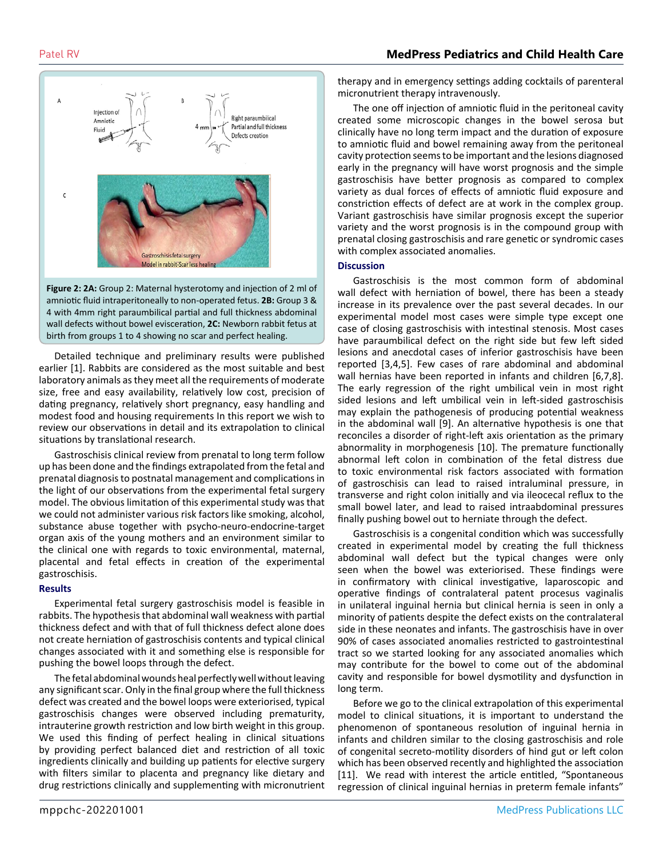

**Figure 2: 2A:** Group 2: Maternal hysterotomy and injection of 2 ml of amniotic fluid intraperitoneally to non-operated fetus. **2B:** Group 3 & 4 with 4mm right paraumbilical partial and full thickness abdominal wall defects without bowel evisceration, **2C:** Newborn rabbit fetus at birth from groups 1 to 4 showing no scar and perfect healing.

Detailed technique and preliminary results were published earlier [1]. Rabbits are considered as the most suitable and best laboratory animals as they meet all the requirements of moderate size, free and easy availability, relatively low cost, precision of dating pregnancy, relatively short pregnancy, easy handling and modest food and housing requirements In this report we wish to review our observations in detail and its extrapolation to clinical situations by translational research.

Gastroschisis clinical review from prenatal to long term follow up has been done and the findings extrapolated from the fetal and prenatal diagnosis to postnatal management and complications in the light of our observations from the experimental fetal surgery model. The obvious limitation of this experimental study was that we could not administer various risk factors like smoking, alcohol, substance abuse together with psycho-neuro-endocrine-target organ axis of the young mothers and an environment similar to the clinical one with regards to toxic environmental, maternal, placental and fetal effects in creation of the experimental gastroschisis.

#### **Results**

Experimental fetal surgery gastroschisis model is feasible in rabbits. The hypothesis that abdominal wall weakness with partial thickness defect and with that of full thickness defect alone does not create herniation of gastroschisis contents and typical clinical changes associated with it and something else is responsible for pushing the bowel loops through the defect.

The fetal abdominal wounds heal perfectly well without leaving any significant scar. Only in the final group where the full thickness defect was created and the bowel loops were exteriorised, typical gastroschisis changes were observed including prematurity, intrauterine growth restriction and low birth weight in this group. We used this finding of perfect healing in clinical situations by providing perfect balanced diet and restriction of all toxic ingredients clinically and building up patients for elective surgery with filters similar to placenta and pregnancy like dietary and drug restrictions clinically and supplementing with micronutrient

therapy and in emergency settings adding cocktails of parenteral micronutrient therapy intravenously.

The one off injection of amniotic fluid in the peritoneal cavity created some microscopic changes in the bowel serosa but clinically have no long term impact and the duration of exposure to amniotic fluid and bowel remaining away from the peritoneal cavity protection seems to be important and the lesions diagnosed early in the pregnancy will have worst prognosis and the simple gastroschisis have better prognosis as compared to complex variety as dual forces of effects of amniotic fluid exposure and constriction effects of defect are at work in the complex group. Variant gastroschisis have similar prognosis except the superior variety and the worst prognosis is in the compound group with prenatal closing gastroschisis and rare genetic or syndromic cases with complex associated anomalies.

#### **Discussion**

Gastroschisis is the most common form of abdominal wall defect with herniation of bowel, there has been a steady increase in its prevalence over the past several decades. In our experimental model most cases were simple type except one case of closing gastroschisis with intestinal stenosis. Most cases have paraumbilical defect on the right side but few left sided lesions and anecdotal cases of inferior gastroschisis have been reported [3,4,5]. Few cases of rare abdominal and abdominal wall hernias have been reported in infants and children [6,7,8]. The early regression of the right umbilical vein in most right sided lesions and left umbilical vein in left-sided gastroschisis may explain the pathogenesis of producing potential weakness in the abdominal wall [9]. An alternative hypothesis is one that reconciles a disorder of right-left axis orientation as the primary abnormality in morphogenesis [10]. The premature functionally abnormal left colon in combination of the fetal distress due to toxic environmental risk factors associated with formation of gastroschisis can lead to raised intraluminal pressure, in transverse and right colon initially and via ileocecal reflux to the small bowel later, and lead to raised intraabdominal pressures finally pushing bowel out to herniate through the defect.

Gastroschisis is a congenital condition which was successfully created in experimental model by creating the full thickness abdominal wall defect but the typical changes were only seen when the bowel was exteriorised. These findings were in confirmatory with clinical investigative, laparoscopic and operative findings of contralateral patent procesus vaginalis in unilateral inguinal hernia but clinical hernia is seen in only a minority of patients despite the defect exists on the contralateral side in these neonates and infants. The gastroschisis have in over 90% of cases associated anomalies restricted to gastrointestinal tract so we started looking for any associated anomalies which may contribute for the bowel to come out of the abdominal cavity and responsible for bowel dysmotility and dysfunction in long term.

Before we go to the clinical extrapolation of this experimental model to clinical situations, it is important to understand the phenomenon of spontaneous resolution of inguinal hernia in infants and children similar to the closing gastroschisis and role of congenital secreto-motility disorders of hind gut or left colon which has been observed recently and highlighted the association [11]. We read with interest the article entitled, "Spontaneous regression of clinical inguinal hernias in preterm female infants"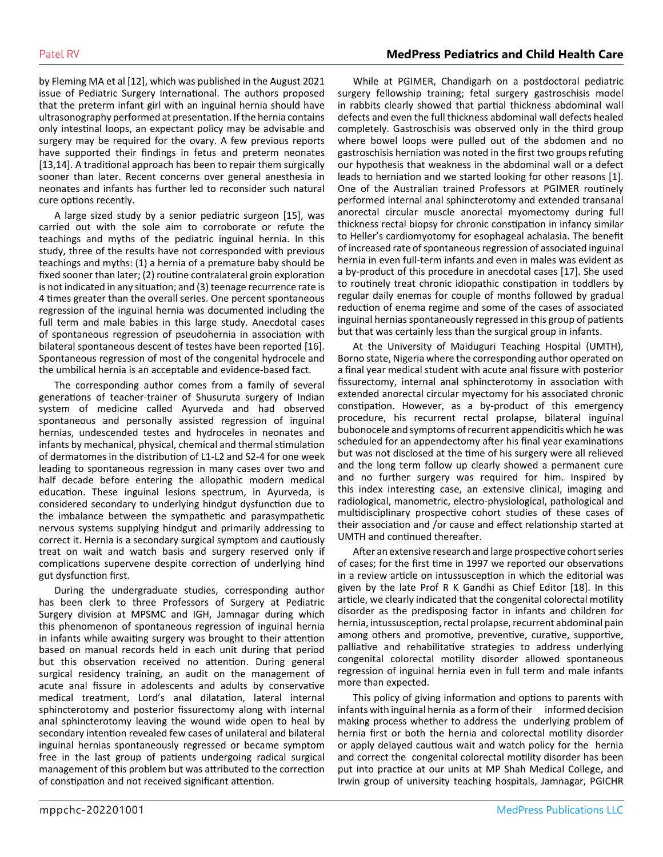by Fleming MA et al [12], which was published in the August 2021 issue of Pediatric Surgery International. The authors proposed that the preterm infant girl with an inguinal hernia should have ultrasonography performed at presentation. If the hernia contains only intestinal loops, an expectant policy may be advisable and surgery may be required for the ovary. A few previous reports have supported their findings in fetus and preterm neonates [13,14]. A traditional approach has been to repair them surgically sooner than later. Recent concerns over general anesthesia in neonates and infants has further led to reconsider such natural cure options recently.

A large sized study by a senior pediatric surgeon [15], was carried out with the sole aim to corroborate or refute the teachings and myths of the pediatric inguinal hernia. In this study, three of the results have not corresponded with previous teachings and myths: (1) a hernia of a premature baby should be fixed sooner than later; (2) routine contralateral groin exploration is not indicated in any situation; and (3) teenage recurrence rate is 4 times greater than the overall series. One percent spontaneous regression of the inguinal hernia was documented including the full term and male babies in this large study. Anecdotal cases of spontaneous regression of pseudohernia in association with bilateral spontaneous descent of testes have been reported [16]. Spontaneous regression of most of the congenital hydrocele and the umbilical hernia is an acceptable and evidence-based fact.

The corresponding author comes from a family of several generations of teacher-trainer of Shusuruta surgery of Indian system of medicine called Ayurveda and had observed spontaneous and personally assisted regression of inguinal hernias, undescended testes and hydroceles in neonates and infants by mechanical, physical, chemical and thermal stimulation of dermatomes in the distribution of L1-L2 and S2-4 for one week leading to spontaneous regression in many cases over two and half decade before entering the allopathic modern medical education. These inguinal lesions spectrum, in Ayurveda, is considered secondary to underlying hindgut dysfunction due to the imbalance between the sympathetic and parasympathetic nervous systems supplying hindgut and primarily addressing to correct it. Hernia is a secondary surgical symptom and cautiously treat on wait and watch basis and surgery reserved only if complications supervene despite correction of underlying hind gut dysfunction first.

During the undergraduate studies, corresponding author has been clerk to three Professors of Surgery at Pediatric Surgery division at MPSMC and IGH, Jamnagar during which this phenomenon of spontaneous regression of inguinal hernia in infants while awaiting surgery was brought to their attention based on manual records held in each unit during that period but this observation received no attention. During general surgical residency training, an audit on the management of acute anal fissure in adolescents and adults by conservative medical treatment, Lord's anal dilatation, lateral internal sphincterotomy and posterior fissurectomy along with internal anal sphincterotomy leaving the wound wide open to heal by secondary intention revealed few cases of unilateral and bilateral inguinal hernias spontaneously regressed or became symptom free in the last group of patients undergoing radical surgical management of this problem but was attributed to the correction of constipation and not received significant attention.

While at PGIMER, Chandigarh on a postdoctoral pediatric surgery fellowship training; fetal surgery gastroschisis model in rabbits clearly showed that partial thickness abdominal wall defects and even the full thickness abdominal wall defects healed completely. Gastroschisis was observed only in the third group where bowel loops were pulled out of the abdomen and no gastroschisis herniation was noted in the first two groups refuting our hypothesis that weakness in the abdominal wall or a defect leads to herniation and we started looking for other reasons [1]. One of the Australian trained Professors at PGIMER routinely performed internal anal sphincterotomy and extended transanal anorectal circular muscle anorectal myomectomy during full thickness rectal biopsy for chronic constipation in infancy similar to Heller's cardiomyotomy for esophageal achalasia. The benefit of increased rate of spontaneous regression of associated inguinal hernia in even full-term infants and even in males was evident as a by-product of this procedure in anecdotal cases [17]. She used to routinely treat chronic idiopathic constipation in toddlers by regular daily enemas for couple of months followed by gradual reduction of enema regime and some of the cases of associated inguinal hernias spontaneously regressed in this group of patients but that was certainly less than the surgical group in infants.

At the University of Maiduguri Teaching Hospital (UMTH), Borno state, Nigeria where the corresponding author operated on a final year medical student with acute anal fissure with posterior fissurectomy, internal anal sphincterotomy in association with extended anorectal circular myectomy for his associated chronic constipation. However, as a by-product of this emergency procedure, his recurrent rectal prolapse, bilateral inguinal bubonocele and symptoms of recurrent appendicitis which he was scheduled for an appendectomy after his final year examinations but was not disclosed at the time of his surgery were all relieved and the long term follow up clearly showed a permanent cure and no further surgery was required for him. Inspired by this index interesting case, an extensive clinical, imaging and radiological, manometric, electro-physiological, pathological and multidisciplinary prospective cohort studies of these cases of their association and /or cause and effect relationship started at UMTH and continued thereafter.

After an extensive research and large prospective cohort series of cases; for the first time in 1997 we reported our observations in a review article on intussusception in which the editorial was given by the late Prof R K Gandhi as Chief Editor [18]. In this article, we clearly indicated that the congenital colorectal motility disorder as the predisposing factor in infants and children for hernia, intussusception, rectal prolapse, recurrent abdominal pain among others and promotive, preventive, curative, supportive, palliative and rehabilitative strategies to address underlying congenital colorectal motility disorder allowed spontaneous regression of inguinal hernia even in full term and male infants more than expected.

This policy of giving information and options to parents with infants with inguinal hernia as a form of their informed decision making process whether to address the underlying problem of hernia first or both the hernia and colorectal motility disorder or apply delayed cautious wait and watch policy for the hernia and correct the congenital colorectal motility disorder has been put into practice at our units at MP Shah Medical College, and Irwin group of university teaching hospitals, Jamnagar, PGICHR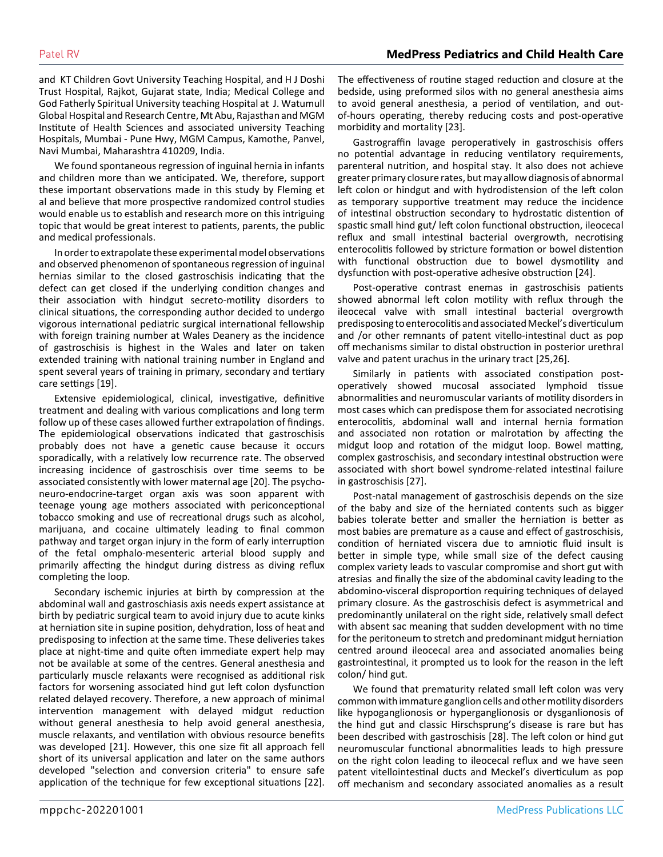and KT Children Govt University Teaching Hospital, and H J Doshi Trust Hospital, Rajkot, Gujarat state, India; Medical College and God Fatherly Spiritual University teaching Hospital at J. Watumull Global Hospital and Research Centre, Mt Abu, Rajasthan and MGM Institute of Health Sciences and associated university Teaching Hospitals, Mumbai - Pune Hwy, MGM Campus, Kamothe, Panvel, Navi Mumbai, Maharashtra 410209, India.

We found spontaneous regression of inguinal hernia in infants and children more than we anticipated. We, therefore, support these important observations made in this study by Fleming et al and believe that more prospective randomized control studies would enable us to establish and research more on this intriguing topic that would be great interest to patients, parents, the public and medical professionals.

In order to extrapolate these experimental model observations and observed phenomenon of spontaneous regression of inguinal hernias similar to the closed gastroschisis indicating that the defect can get closed if the underlying condition changes and their association with hindgut secreto-motility disorders to clinical situations, the corresponding author decided to undergo vigorous international pediatric surgical international fellowship with foreign training number at Wales Deanery as the incidence of gastroschisis is highest in the Wales and later on taken extended training with national training number in England and spent several years of training in primary, secondary and tertiary care settings [19].

Extensive epidemiological, clinical, investigative, definitive treatment and dealing with various complications and long term follow up of these cases allowed further extrapolation of findings. The epidemiological observations indicated that gastroschisis probably does not have a genetic cause because it occurs sporadically, with a relatively low recurrence rate. The observed increasing incidence of gastroschisis over time seems to be associated consistently with lower maternal age [20]. The psychoneuro-endocrine-target organ axis was soon apparent with teenage young age mothers associated with periconceptional tobacco smoking and use of recreational drugs such as alcohol, marijuana, and cocaine ultimately leading to final common pathway and target organ injury in the form of early interruption of the fetal omphalo-mesenteric arterial blood supply and primarily affecting the hindgut during distress as diving reflux completing the loop.

Secondary ischemic injuries at birth by compression at the abdominal wall and gastroschiasis axis needs expert assistance at birth by pediatric surgical team to avoid injury due to acute kinks at herniation site in supine position, dehydration, loss of heat and predisposing to infection at the same time. These deliveries takes place at night-time and quite often immediate expert help may not be available at some of the centres. General anesthesia and particularly muscle relaxants were recognised as additional risk factors for worsening associated hind gut left colon dysfunction related delayed recovery. Therefore, a new approach of minimal intervention management with delayed midgut reduction without general anesthesia to help avoid general anesthesia, muscle relaxants, and ventilation with obvious resource benefits was developed [21]. However, this one size fit all approach fell short of its universal application and later on the same authors developed "selection and conversion criteria" to ensure safe application of the technique for few exceptional situations [22].

The effectiveness of routine staged reduction and closure at the bedside, using preformed silos with no general anesthesia aims to avoid general anesthesia, a period of ventilation, and outof-hours operating, thereby reducing costs and post-operative morbidity and mortality [23].

Gastrograffin lavage peroperatively in gastroschisis offers no potential advantage in reducing ventilatory requirements, parenteral nutrition, and hospital stay. It also does not achieve greater primary closure rates, but may allow diagnosis of abnormal left colon or hindgut and with hydrodistension of the left colon as temporary supportive treatment may reduce the incidence of intestinal obstruction secondary to hydrostatic distention of spastic small hind gut/ left colon functional obstruction, ileocecal reflux and small intestinal bacterial overgrowth, necrotising enterocolitis followed by stricture formation or bowel distention with functional obstruction due to bowel dysmotility and dysfunction with post-operative adhesive obstruction [24].

Post-operative contrast enemas in gastroschisis patients showed abnormal left colon motility with reflux through the ileocecal valve with small intestinal bacterial overgrowth predisposing to enterocolitis and associated Meckel's diverticulum and /or other remnants of patent vitello-intestinal duct as pop off mechanisms similar to distal obstruction in posterior urethral valve and patent urachus in the urinary tract [25,26].

Similarly in patients with associated constipation postoperatively showed mucosal associated lymphoid tissue abnormalities and neuromuscular variants of motility disorders in most cases which can predispose them for associated necrotising enterocolitis, abdominal wall and internal hernia formation and associated non rotation or malrotation by affecting the midgut loop and rotation of the midgut loop. Bowel matting, complex gastroschisis, and secondary intestinal obstruction were associated with short bowel syndrome-related intestinal failure in gastroschisis [27].

Post-natal management of gastroschisis depends on the size of the baby and size of the herniated contents such as bigger babies tolerate better and smaller the herniation is better as most babies are premature as a cause and effect of gastroschisis, condition of herniated viscera due to amniotic fluid insult is better in simple type, while small size of the defect causing complex variety leads to vascular compromise and short gut with atresias and finally the size of the abdominal cavity leading to the abdomino-visceral disproportion requiring techniques of delayed primary closure. As the gastroschisis defect is asymmetrical and predominantly unilateral on the right side, relatively small defect with absent sac meaning that sudden development with no time for the peritoneum to stretch and predominant midgut herniation centred around ileocecal area and associated anomalies being gastrointestinal, it prompted us to look for the reason in the left colon/ hind gut.

We found that prematurity related small left colon was very common with immature ganglion cells and other motility disorders like hypoganglionosis or hyperganglionosis or dysganlionosis of the hind gut and classic Hirschsprung's disease is rare but has been described with gastroschisis [28]. The left colon or hind gut neuromuscular functional abnormalities leads to high pressure on the right colon leading to ileocecal reflux and we have seen patent vitellointestinal ducts and Meckel's diverticulum as pop off mechanism and secondary associated anomalies as a result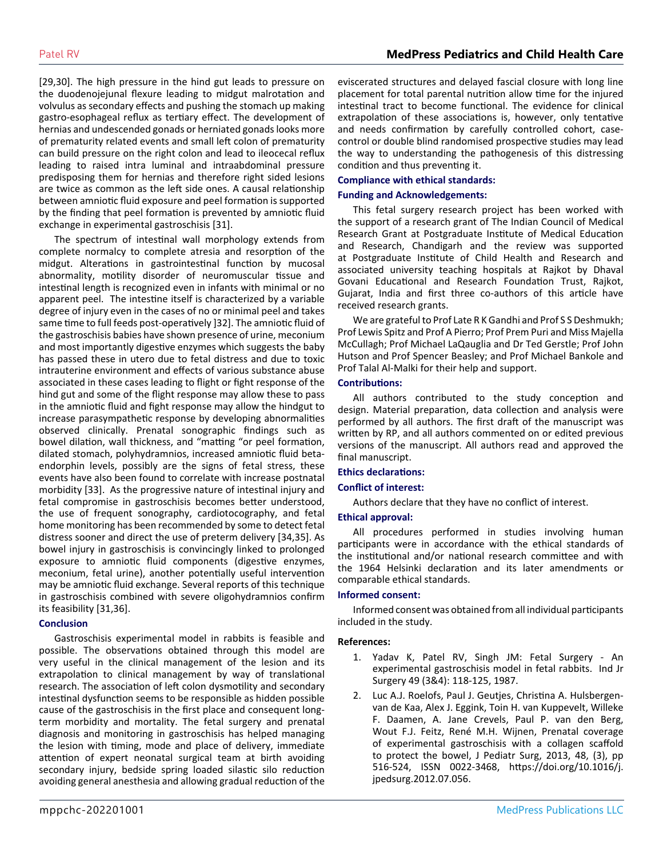[29,30]. The high pressure in the hind gut leads to pressure on the duodenojejunal flexure leading to midgut malrotation and volvulus as secondary effects and pushing the stomach up making gastro-esophageal reflux as tertiary effect. The development of hernias and undescended gonads or herniated gonads looks more of prematurity related events and small left colon of prematurity can build pressure on the right colon and lead to ileocecal reflux leading to raised intra luminal and intraabdominal pressure predisposing them for hernias and therefore right sided lesions are twice as common as the left side ones. A causal relationship between amniotic fluid exposure and peel formation is supported by the finding that peel formation is prevented by amniotic fluid exchange in experimental gastroschisis [31].

The spectrum of intestinal wall morphology extends from complete normalcy to complete atresia and resorption of the midgut. Alterations in gastrointestinal function by mucosal abnormality, motility disorder of neuromuscular tissue and intestinal length is recognized even in infants with minimal or no apparent peel. The intestine itself is characterized by a variable degree of injury even in the cases of no or minimal peel and takes same time to full feeds post-operatively ]32]. The amniotic fluid of the gastroschisis babies have shown presence of urine, meconium and most importantly digestive enzymes which suggests the baby has passed these in utero due to fetal distress and due to toxic intrauterine environment and effects of various substance abuse associated in these cases leading to flight or fight response of the hind gut and some of the flight response may allow these to pass in the amniotic fluid and fight response may allow the hindgut to increase parasympathetic response by developing abnormalities observed clinically. Prenatal sonographic findings such as bowel dilation, wall thickness, and "matting "or peel formation, dilated stomach, polyhydramnios, increased amniotic fluid betaendorphin levels, possibly are the signs of fetal stress, these events have also been found to correlate with increase postnatal morbidity [33]. As the progressive nature of intestinal injury and fetal compromise in gastroschisis becomes better understood, the use of frequent sonography, cardiotocography, and fetal home monitoring has been recommended by some to detect fetal distress sooner and direct the use of preterm delivery [34,35]. As bowel injury in gastroschisis is convincingly linked to prolonged exposure to amniotic fluid components (digestive enzymes, meconium, fetal urine), another potentially useful intervention may be amniotic fluid exchange. Several reports of this technique in gastroschisis combined with severe oligohydramnios confirm its feasibility [31,36].

#### **Conclusion**

Gastroschisis experimental model in rabbits is feasible and possible. The observations obtained through this model are very useful in the clinical management of the lesion and its extrapolation to clinical management by way of translational research. The association of left colon dysmotility and secondary intestinal dysfunction seems to be responsible as hidden possible cause of the gastroschisis in the first place and consequent longterm morbidity and mortality. The fetal surgery and prenatal diagnosis and monitoring in gastroschisis has helped managing the lesion with timing, mode and place of delivery, immediate attention of expert neonatal surgical team at birth avoiding secondary injury, bedside spring loaded silastic silo reduction avoiding general anesthesia and allowing gradual reduction of the eviscerated structures and delayed fascial closure with long line placement for total parental nutrition allow time for the injured intestinal tract to become functional. The evidence for clinical extrapolation of these associations is, however, only tentative and needs confirmation by carefully controlled cohort, casecontrol or double blind randomised prospective studies may lead the way to understanding the pathogenesis of this distressing condition and thus preventing it.

#### **Compliance with ethical standards:**

#### **Funding and Acknowledgements:**

This fetal surgery research project has been worked with the support of a research grant of The Indian Council of Medical Research Grant at Postgraduate Institute of Medical Education and Research, Chandigarh and the review was supported at Postgraduate Institute of Child Health and Research and associated university teaching hospitals at Rajkot by Dhaval Govani Educational and Research Foundation Trust, Rajkot, Gujarat, India and first three co-authors of this article have received research grants.

We are grateful to Prof Late R K Gandhi and Prof S S Deshmukh; Prof Lewis Spitz and Prof A Pierro; Prof Prem Puri and Miss Majella McCullagh; Prof Michael LaQauglia and Dr Ted Gerstle; Prof John Hutson and Prof Spencer Beasley; and Prof Michael Bankole and Prof Talal Al-Malki for their help and support.

#### **Contributions:**

All authors contributed to the study conception and design. Material preparation, data collection and analysis were performed by all authors. The first draft of the manuscript was written by RP, and all authors commented on or edited previous versions of the manuscript. All authors read and approved the final manuscript.

#### **Ethics declarations:**

#### **Conflict of interest:**

Authors declare that they have no conflict of interest.

#### **Ethical approval:**

All procedures performed in studies involving human participants were in accordance with the ethical standards of the institutional and/or national research committee and with the 1964 Helsinki declaration and its later amendments or comparable ethical standards.

#### **Informed consent:**

Informed consent was obtained from all individual participants included in the study.

#### **References:**

- 1. Yadav K, Patel RV, Singh JM: Fetal Surgery An experimental gastroschisis model in fetal rabbits. Ind Jr Surgery 49 (3&4): 118-125, 1987.
- 2. Luc A.J. Roelofs, Paul J. Geutjes, Christina A. Hulsbergenvan de Kaa, Alex J. Eggink, Toin H. van Kuppevelt, Willeke F. Daamen, A. Jane Crevels, Paul P. van den Berg, Wout F.J. Feitz, René M.H. Wijnen, Prenatal coverage of experimental gastroschisis with a collagen scaffold to protect the bowel, J Pediatr Surg, 2013, 48, (3), pp 516-524, ISSN 0022-3468, https://doi.org/10.1016/j. jpedsurg.2012.07.056.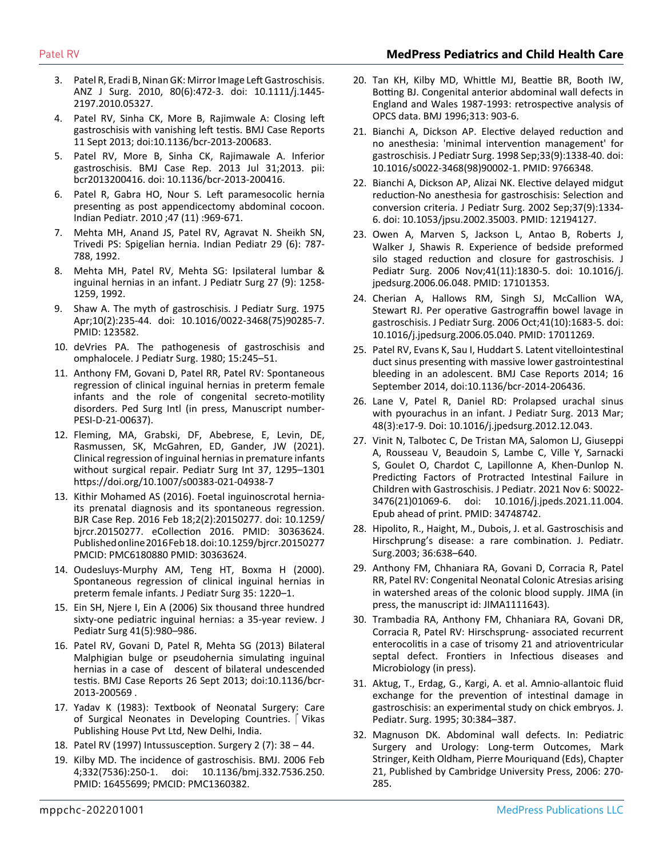- 3. Pat[el R, Eradi B, Ninan GK: Mirror Image Left Gastroschisis.](https://www.researchgate.net/publication/45147383_Mirror_image_left-sided_gastroschisis)  [ANZ J Surg. 2010, 80\(6\):472-3. doi: 10.1111/j.1445-](https://www.researchgate.net/publication/45147383_Mirror_image_left-sided_gastroschisis) [2197.2010.05327.](https://www.researchgate.net/publication/45147383_Mirror_image_left-sided_gastroschisis)
- 4. [Patel RV, Sinha CK, More B, Rajimwale A: Closing left](https://www.ncbi.nlm.nih.gov/labs/pmc/articles/PMC3794196/)  [gastroschisis with vanishing left testis. BMJ Case Reports](https://www.ncbi.nlm.nih.gov/labs/pmc/articles/PMC3794196/)  [11 Sept 2013; doi:10.1136/bcr-2013-200683.](https://www.ncbi.nlm.nih.gov/labs/pmc/articles/PMC3794196/)
- 5. [Patel RV, More B, Sinha CK, Rajimawale A. Inferior](https://pubmed.ncbi.nlm.nih.gov/23904437/)  [gastroschisis. BMJ Case Rep. 2013 Jul 31;2013. pii:](https://pubmed.ncbi.nlm.nih.gov/23904437/)  [bcr2013200416. doi: 10.1136/bcr-2013-200416.](https://pubmed.ncbi.nlm.nih.gov/23904437/)
- 6. [Patel R, Gabra HO, Nour S. Left paramesocolic hernia](https://www.indianpediatrics.net/nov2010/969-971.pdf)  [presenting as post appendicectomy abdominal cocoon.](https://www.indianpediatrics.net/nov2010/969-971.pdf)  [Indian Pediatr. 2010 ;47 \(11\) :969-671.](https://www.indianpediatrics.net/nov2010/969-971.pdf)
- 7. Mehta MH, Anand JS, Patel RV, Agravat N. Sheikh SN, Trivedi PS: Spigelian hernia. Indian Pediatr 29 (6): 787- 788, 1992.
- 8. Mehta MH, Patel RV, Mehta SG: Ipsilateral lumbar & inguinal hernias in an infant. J Pediatr Surg 27 (9): 1258- 1259, 1992.
- 9. [Shaw A. The myth of gastroschisis. J Pediatr Surg. 1975](https://pubmed.ncbi.nlm.nih.gov/123582/) [Apr;10\(2\):235-44. doi: 10.1016/0022-3468\(75\)90285-7.](https://pubmed.ncbi.nlm.nih.gov/123582/) [PMID: 123582.](https://pubmed.ncbi.nlm.nih.gov/123582/)
- 10. [deVries PA. The pathogenesis of gastroschisis and](https://pubmed.ncbi.nlm.nih.gov/6445962/)  [omphalocele. J Pediatr Surg. 1980; 15:245–51.](https://pubmed.ncbi.nlm.nih.gov/6445962/)
- 11. [Anthony FM, Govani D, Patel RR, Patel RV: Spontaneous](https://pubmed.ncbi.nlm.nih.gov/10945698/)  [regression of clinical inguinal hernias in preterm female](https://pubmed.ncbi.nlm.nih.gov/10945698/) [infants and the role of congenital secreto-motility](https://pubmed.ncbi.nlm.nih.gov/10945698/)  [disorders. Ped Surg Intl \(in press, Manuscript number-](https://pubmed.ncbi.nlm.nih.gov/10945698/)[PESI-D-21-00637\).](https://pubmed.ncbi.nlm.nih.gov/10945698/)
- 12. Fleming, MA, Grabski, DF, Abebrese, E, Levin, DE, Rasmussen, SK, McGahren, ED, Gander, JW (2021). Clinical regression of inguinal hernias in premature infants without surgical repair. Pediatr Surg Int 37, 1295–1301 https://doi.org/10.1007/s00383-021-04938-7
- 13. [Kithir Mohamed AS \(2016\). Foetal inguinoscrotal hernia](https://www.ncbi.nlm.nih.gov/labs/pmc/articles/PMC6180880/)[its prenatal diagnosis and its spontaneous regression.](https://www.ncbi.nlm.nih.gov/labs/pmc/articles/PMC6180880/)  [BJR Case Rep. 2016 Feb 18;2\(2\):20150277. doi: 10.1259/](https://www.ncbi.nlm.nih.gov/labs/pmc/articles/PMC6180880/) [bjrcr.20150277. eCollection 2016. PMID: 30363624.](https://www.ncbi.nlm.nih.gov/labs/pmc/articles/PMC6180880/) [Published online 2016 Feb 18. doi: 10.1259/bjrcr.20150277](https://www.ncbi.nlm.nih.gov/labs/pmc/articles/PMC6180880/) [PMCID: PMC6180880 PMID: 30363624.](https://www.ncbi.nlm.nih.gov/labs/pmc/articles/PMC6180880/)
- 14. [Oudesluys-Murphy AM, Teng HT, Boxma H \(2000\).](https://pubmed.ncbi.nlm.nih.gov/10945698/)  [Spontaneous regression of clinical inguinal hernias in](https://pubmed.ncbi.nlm.nih.gov/10945698/)  [preterm female infants. J Pediatr Surg 35: 1220–1.](https://pubmed.ncbi.nlm.nih.gov/10945698/)
- 15. [Ein SH, Njere I, Ein A \(2006\) Six thousand three hundred](https://pubmed.ncbi.nlm.nih.gov/16677897/)  [sixty-one pediatric inguinal hernias: a 35-year review. J](https://pubmed.ncbi.nlm.nih.gov/16677897/) [Pediatr Surg 41\(5\):980–986.](https://pubmed.ncbi.nlm.nih.gov/16677897/)
- 16. [Patel RV, Govani D, Patel R, Mehta SG \(2013\) Bilateral](https://casereports.bmj.com/content/2013/bcr-2013-200569)  [Malphigian bulge or pseudohernia simulating inguinal](https://casereports.bmj.com/content/2013/bcr-2013-200569)  [hernias in a case of descent of bilateral undescended](https://casereports.bmj.com/content/2013/bcr-2013-200569)  [testis. BMJ Case Reports 26 Sept 2013; doi:10.1136/bcr-](https://casereports.bmj.com/content/2013/bcr-2013-200569)[2013-200569 .](https://casereports.bmj.com/content/2013/bcr-2013-200569)
- 17. Yadav K (1983): Textbook of Neonatal Surgery: Care of Surgical Neonates in Developing Countries. | Vikas Publishing House Pvt Ltd, New Delhi, India.
- 18. Patel RV (1997) Intussusception. Surgery 2 (7): 38 44.
- 19. [Kilby MD. The incidence of gastroschisis. BMJ. 2006 Feb](https://www.ncbi.nlm.nih.gov/labs/pmc/articles/PMC1360382/)  [4;332\(7536\):250-1. doi: 10.1136/bmj.332.7536.250.](https://www.ncbi.nlm.nih.gov/labs/pmc/articles/PMC1360382/)  [PMID: 16455699; PMCID: PMC1360382.](https://www.ncbi.nlm.nih.gov/labs/pmc/articles/PMC1360382/)
- 20. Ta[n KH, Kilby MD, Whittle MJ, Beattie BR, Booth IW,](https://pubmed.ncbi.nlm.nih.gov/8876090/) [Botting BJ. Congenital anterior abdominal wall defects in](https://pubmed.ncbi.nlm.nih.gov/8876090/)  [England and Wales 1987-1993: retrospective analysis of](https://pubmed.ncbi.nlm.nih.gov/8876090/)  [OPCS data. BMJ 1996;313: 903-6.](https://pubmed.ncbi.nlm.nih.gov/8876090/)
- 21. [Bianchi A, Dickson AP. Elective delayed reduction and](https://pubmed.ncbi.nlm.nih.gov/9766348/)  [no anesthesia: 'minimal intervention management' for](https://pubmed.ncbi.nlm.nih.gov/9766348/) [gastroschisis. J Pediatr Surg. 1998 Sep;33\(9\):1338-40. doi:](https://pubmed.ncbi.nlm.nih.gov/9766348/)  [10.1016/s0022-3468\(98\)90002-1. PMID: 9766348.](https://pubmed.ncbi.nlm.nih.gov/9766348/)
- 22. [Bianchi A, Dickson AP, Alizai NK. Elective delayed midgut](https://pubmed.ncbi.nlm.nih.gov/12194127/)  [reduction-No anesthesia for gastroschisis: Selection and](https://pubmed.ncbi.nlm.nih.gov/12194127/)  [conversion criteria. J Pediatr Surg. 2002 Sep;37\(9\):1334-](https://pubmed.ncbi.nlm.nih.gov/12194127/) [6. doi: 10.1053/jpsu.2002.35003. PMID: 12194127.](https://pubmed.ncbi.nlm.nih.gov/12194127/)
- 23. [Owen A, Marven S, Jackson L, Antao B, Roberts J,](https://pubmed.ncbi.nlm.nih.gov/17101353/) [Walker J, Shawis R. Experience of bedside preformed](https://pubmed.ncbi.nlm.nih.gov/17101353/) [silo staged reduction and closure for gastroschisis. J](https://pubmed.ncbi.nlm.nih.gov/17101353/) [Pediatr Surg. 2006 Nov;41\(11\):1830-5. doi: 10.1016/j.](https://pubmed.ncbi.nlm.nih.gov/17101353/) [jpedsurg.2006.06.048. PMID: 17101353.](https://pubmed.ncbi.nlm.nih.gov/17101353/)
- 24. [Cherian A, Hallows RM, Singh SJ, McCallion WA,](https://www.jpedsurg.org/article/S0022-3468(06)00398-8/fulltext) [Stewart RJ. Per operative Gastrograffin bowel lavage in](https://www.jpedsurg.org/article/S0022-3468(06)00398-8/fulltext)  [gastroschisis. J Pediatr Surg. 2006 Oct;41\(10\):1683-5. doi:](https://www.jpedsurg.org/article/S0022-3468(06)00398-8/fulltext)  [10.1016/j.jpedsurg.2006.05.040. PMID: 17011269.](https://www.jpedsurg.org/article/S0022-3468(06)00398-8/fulltext)
- 25. [Patel RV, Evans K, Sau I, Huddart S. Latent vitellointestinal](https://pubmed.ncbi.nlm.nih.gov/25228678/)  [duct sinus presenting with massive lower gastrointestinal](https://pubmed.ncbi.nlm.nih.gov/25228678/)  [bleeding in an adolescent. BMJ Case Reports 2014; 16](https://pubmed.ncbi.nlm.nih.gov/25228678/) [September 2014, doi:10.1136/bcr-2014-206436.](https://pubmed.ncbi.nlm.nih.gov/25228678/)
- 26. [Lane V, Patel R, Daniel RD: Prolapsed urachal sinus](https://pubmed.ncbi.nlm.nih.gov/23480942/)  [with pyourachus in an infant. J Pediatr Surg. 2013 Mar;](https://pubmed.ncbi.nlm.nih.gov/23480942/) [48\(3\):e17-9. Doi: 10.1016/j.jpedsurg.2012.12.043.](https://pubmed.ncbi.nlm.nih.gov/23480942/)
- 27. [Vinit N, Talbotec C, De Tristan MA, Salomon LJ, Giuseppi](https://pubmed.ncbi.nlm.nih.gov/34748742/)  [A, Rousseau V, Beaudoin S, Lambe C, Ville Y, Sarnacki](https://pubmed.ncbi.nlm.nih.gov/34748742/)  [S, Goulet O, Chardot C, Lapillonne A, Khen-Dunlop N.](https://pubmed.ncbi.nlm.nih.gov/34748742/) [Predicting Factors of Protracted Intestinal Failure in](https://pubmed.ncbi.nlm.nih.gov/34748742/)  [Children with Gastroschisis. J Pediatr. 2021 Nov 6: S0022-](https://pubmed.ncbi.nlm.nih.gov/34748742/) [3476\(21\)01069-6. doi: 10.1016/j.jpeds.2021.11.004.](https://pubmed.ncbi.nlm.nih.gov/34748742/)  [Epub ahead of print. PMID: 34748742.](https://pubmed.ncbi.nlm.nih.gov/34748742/)
- 28. [Hipolito, R., Haight, M., Dubois, J. et al. Gastroschisis and](https://pubmed.ncbi.nlm.nih.gov/11283896/)  [Hirschprung's disease: a rare combination. J. Pediatr.](https://pubmed.ncbi.nlm.nih.gov/11283896/)  [Surg.2003; 36:638–640.](https://pubmed.ncbi.nlm.nih.gov/11283896/)
- 29. Anthony FM, Chhaniara RA, Govani D, Corracia R, Patel RR, Patel RV: Congenital Neonatal Colonic Atresias arising in watershed areas of the colonic blood supply. JIMA (in press, the manuscript id: JIMA1111643).
- 30. Trambadia RA, Anthony FM, Chhaniara RA, Govani DR, Corracia R, Patel RV: Hirschsprung- associated recurrent enterocolitis in a case of trisomy 21 and atrioventricular septal defect. Frontiers in Infectious diseases and Microbiology (in press).
- 31. [Aktug, T., Erdag, G., Kargi, A. et al. Amnio-allantoic fluid](https://pubmed.ncbi.nlm.nih.gov/7760225/)  [exchange for the prevention of intestinal damage in](https://pubmed.ncbi.nlm.nih.gov/7760225/)  [gastroschisis: an experimental study on chick embryos. J.](https://pubmed.ncbi.nlm.nih.gov/7760225/)  [Pediatr. Surg. 1995; 30:384–387.](https://pubmed.ncbi.nlm.nih.gov/7760225/)
- 32. Magnuson DK. Abdominal wall defects. In: Pediatric Surgery and Urology: Long-term Outcomes, Mark Stringer, Keith Oldham, Pierre Mouriquand (Eds), Chapter 21, Published by Cambridge University Press, 2006: 270- 285.